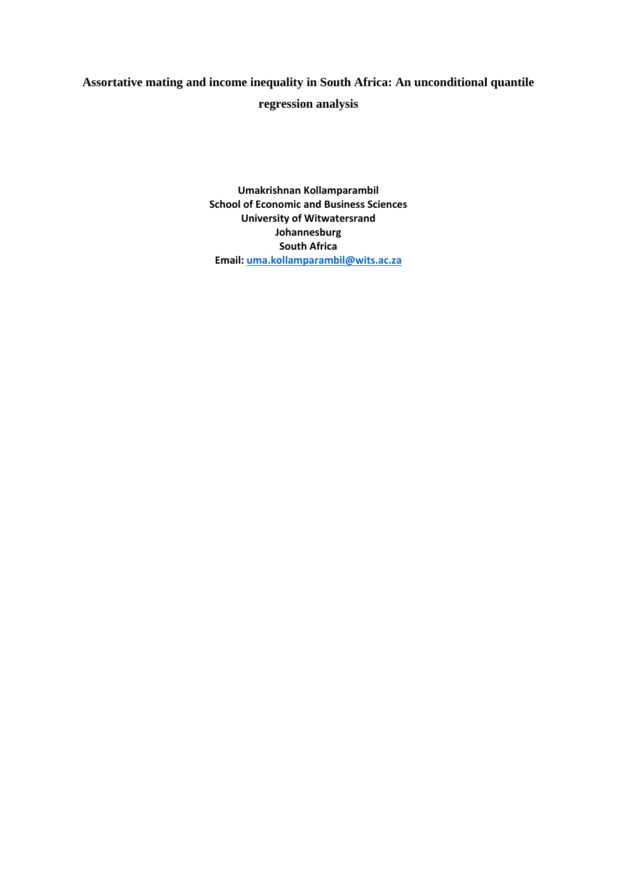# **Assortative mating and income inequality in South Africa: An unconditional quantile**

# **regression analysis**

**Umakrishnan Kollamparambil School of Economic and Business Sciences University of Witwatersrand Johannesburg South Africa Email: [uma.kollamparambil@wits.ac.za](mailto:uma.kollamparambil@wits.ac.za)**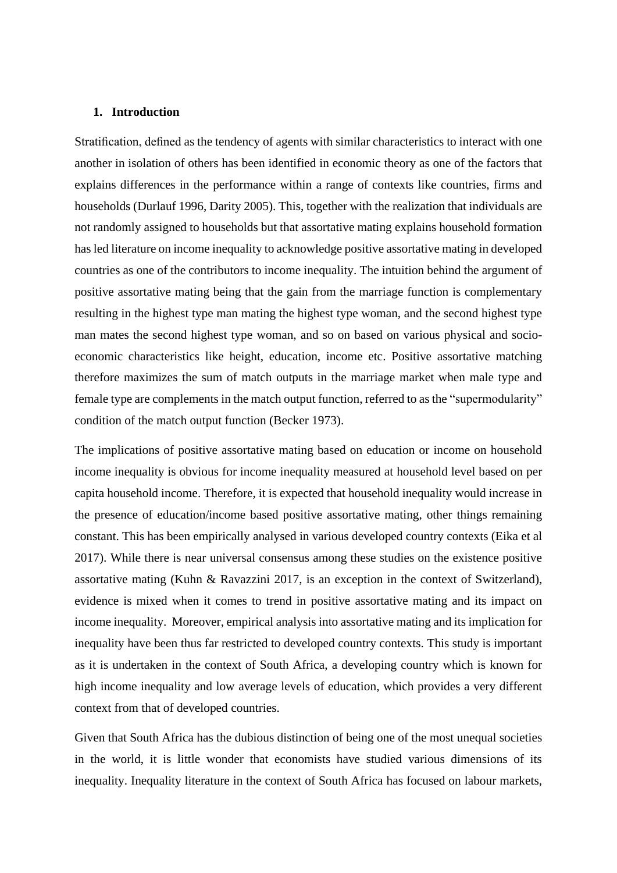# **1. Introduction**

Stratification, defined as the tendency of agents with similar characteristics to interact with one another in isolation of others has been identified in economic theory as one of the factors that explains differences in the performance within a range of contexts like countries, firms and households (Durlauf 1996, Darity 2005). This, together with the realization that individuals are not randomly assigned to households but that assortative mating explains household formation has led literature on income inequality to acknowledge positive assortative mating in developed countries as one of the contributors to income inequality. The intuition behind the argument of positive assortative mating being that the gain from the marriage function is complementary resulting in the highest type man mating the highest type woman, and the second highest type man mates the second highest type woman, and so on based on various physical and socioeconomic characteristics like height, education, income etc. Positive assortative matching therefore maximizes the sum of match outputs in the marriage market when male type and female type are complements in the match output function, referred to as the "supermodularity" condition of the match output function (Becker 1973).

The implications of positive assortative mating based on education or income on household income inequality is obvious for income inequality measured at household level based on per capita household income. Therefore, it is expected that household inequality would increase in the presence of education/income based positive assortative mating, other things remaining constant. This has been empirically analysed in various developed country contexts (Eika et al 2017). While there is near universal consensus among these studies on the existence positive assortative mating (Kuhn & Ravazzini 2017, is an exception in the context of Switzerland), evidence is mixed when it comes to trend in positive assortative mating and its impact on income inequality. Moreover, empirical analysis into assortative mating and its implication for inequality have been thus far restricted to developed country contexts. This study is important as it is undertaken in the context of South Africa, a developing country which is known for high income inequality and low average levels of education, which provides a very different context from that of developed countries.

Given that South Africa has the dubious distinction of being one of the most unequal societies in the world, it is little wonder that economists have studied various dimensions of its inequality. Inequality literature in the context of South Africa has focused on labour markets,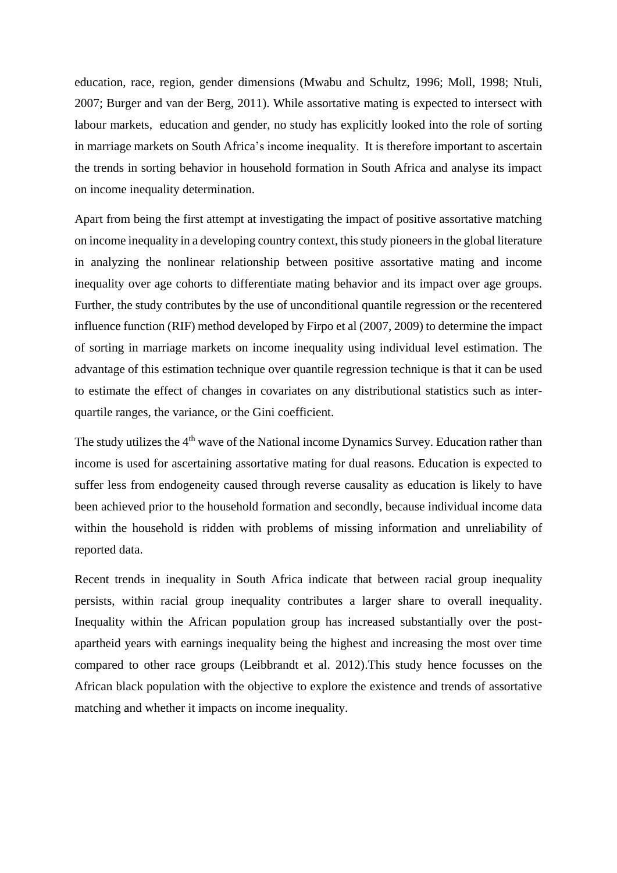education, race, region, gender dimensions (Mwabu and Schultz, 1996; Moll, 1998; Ntuli, 2007; Burger and van der Berg, 2011). While assortative mating is expected to intersect with labour markets, education and gender, no study has explicitly looked into the role of sorting in marriage markets on South Africa's income inequality. It is therefore important to ascertain the trends in sorting behavior in household formation in South Africa and analyse its impact on income inequality determination.

Apart from being the first attempt at investigating the impact of positive assortative matching on income inequality in a developing country context, this study pioneers in the global literature in analyzing the nonlinear relationship between positive assortative mating and income inequality over age cohorts to differentiate mating behavior and its impact over age groups. Further, the study contributes by the use of unconditional quantile regression or the recentered influence function (RIF) method developed by Firpo et al (2007, 2009) to determine the impact of sorting in marriage markets on income inequality using individual level estimation. The advantage of this estimation technique over quantile regression technique is that it can be used to estimate the effect of changes in covariates on any distributional statistics such as interquartile ranges, the variance, or the Gini coefficient.

The study utilizes the 4<sup>th</sup> wave of the National income Dynamics Survey. Education rather than income is used for ascertaining assortative mating for dual reasons. Education is expected to suffer less from endogeneity caused through reverse causality as education is likely to have been achieved prior to the household formation and secondly, because individual income data within the household is ridden with problems of missing information and unreliability of reported data.

Recent trends in inequality in South Africa indicate that between racial group inequality persists, within racial group inequality contributes a larger share to overall inequality. Inequality within the African population group has increased substantially over the postapartheid years with earnings inequality being the highest and increasing the most over time compared to other race groups (Leibbrandt et al. 2012).This study hence focusses on the African black population with the objective to explore the existence and trends of assortative matching and whether it impacts on income inequality.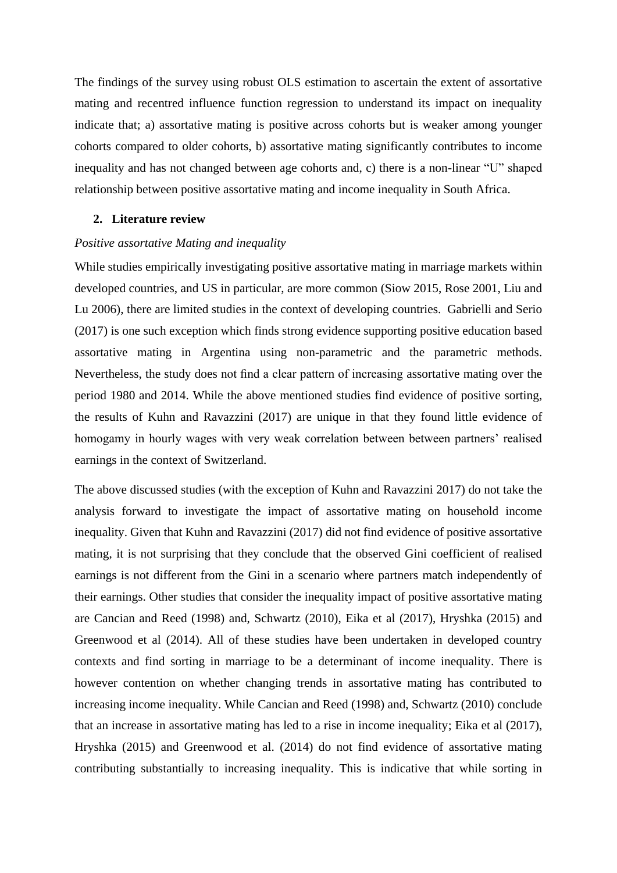The findings of the survey using robust OLS estimation to ascertain the extent of assortative mating and recentred influence function regression to understand its impact on inequality indicate that; a) assortative mating is positive across cohorts but is weaker among younger cohorts compared to older cohorts, b) assortative mating significantly contributes to income inequality and has not changed between age cohorts and, c) there is a non-linear "U" shaped relationship between positive assortative mating and income inequality in South Africa.

### **2. Literature review**

### *Positive assortative Mating and inequality*

While studies empirically investigating positive assortative mating in marriage markets within developed countries, and US in particular, are more common (Siow 2015, Rose 2001, Liu and Lu 2006), there are limited studies in the context of developing countries. Gabrielli and Serio (2017) is one such exception which finds strong evidence supporting positive education based assortative mating in Argentina using non-parametric and the parametric methods. Nevertheless, the study does not find a clear pattern of increasing assortative mating over the period 1980 and 2014. While the above mentioned studies find evidence of positive sorting, the results of Kuhn and Ravazzini (2017) are unique in that they found little evidence of homogamy in hourly wages with very weak correlation between between partners' realised earnings in the context of Switzerland.

The above discussed studies (with the exception of Kuhn and Ravazzini 2017) do not take the analysis forward to investigate the impact of assortative mating on household income inequality. Given that Kuhn and Ravazzini (2017) did not find evidence of positive assortative mating, it is not surprising that they conclude that the observed Gini coefficient of realised earnings is not different from the Gini in a scenario where partners match independently of their earnings. Other studies that consider the inequality impact of positive assortative mating are Cancian and Reed (1998) and, Schwartz (2010), Eika et al (2017), Hryshka (2015) and Greenwood et al (2014). All of these studies have been undertaken in developed country contexts and find sorting in marriage to be a determinant of income inequality. There is however contention on whether changing trends in assortative mating has contributed to increasing income inequality. While Cancian and Reed (1998) and, Schwartz (2010) conclude that an increase in assortative mating has led to a rise in income inequality; Eika et al (2017), Hryshka (2015) and Greenwood et al. (2014) do not find evidence of assortative mating contributing substantially to increasing inequality. This is indicative that while sorting in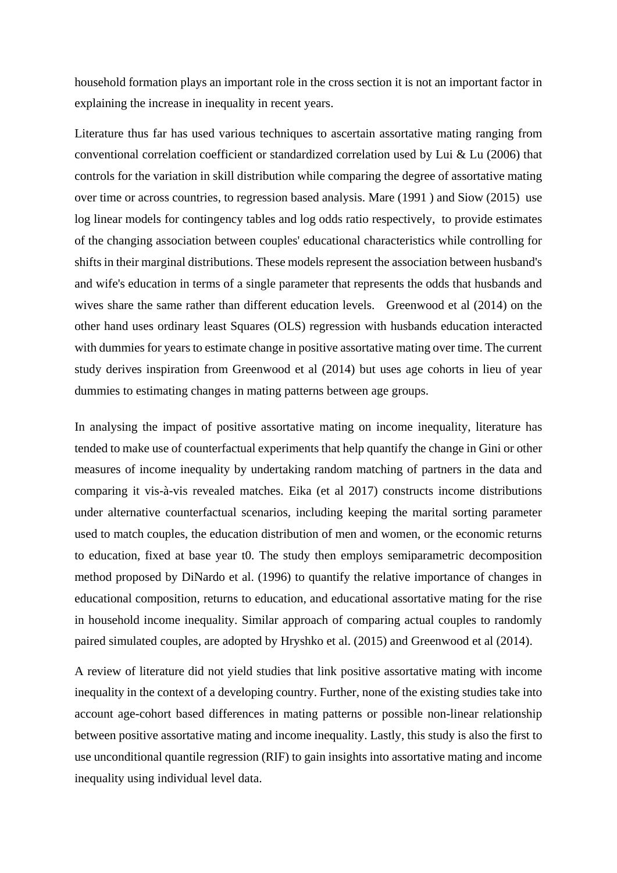household formation plays an important role in the cross section it is not an important factor in explaining the increase in inequality in recent years.

Literature thus far has used various techniques to ascertain assortative mating ranging from conventional correlation coefficient or standardized correlation used by Lui & Lu (2006) that controls for the variation in skill distribution while comparing the degree of assortative mating over time or across countries, to regression based analysis. Mare (1991 ) and Siow (2015) use log linear models for contingency tables and log odds ratio respectively, to provide estimates of the changing association between couples' educational characteristics while controlling for shifts in their marginal distributions. These models represent the association between husband's and wife's education in terms of a single parameter that represents the odds that husbands and wives share the same rather than different education levels. Greenwood et al (2014) on the other hand uses ordinary least Squares (OLS) regression with husbands education interacted with dummies for years to estimate change in positive assortative mating over time. The current study derives inspiration from Greenwood et al (2014) but uses age cohorts in lieu of year dummies to estimating changes in mating patterns between age groups.

In analysing the impact of positive assortative mating on income inequality, literature has tended to make use of counterfactual experiments that help quantify the change in Gini or other measures of income inequality by undertaking random matching of partners in the data and comparing it vis-à-vis revealed matches. Eika (et al 2017) constructs income distributions under alternative counterfactual scenarios, including keeping the marital sorting parameter used to match couples, the education distribution of men and women, or the economic returns to education, fixed at base year t0. The study then employs semiparametric decomposition method proposed by DiNardo et al. (1996) to quantify the relative importance of changes in educational composition, returns to education, and educational assortative mating for the rise in household income inequality. Similar approach of comparing actual couples to randomly paired simulated couples, are adopted by Hryshko et al. (2015) and Greenwood et al (2014).

A review of literature did not yield studies that link positive assortative mating with income inequality in the context of a developing country. Further, none of the existing studies take into account age-cohort based differences in mating patterns or possible non-linear relationship between positive assortative mating and income inequality. Lastly, this study is also the first to use unconditional quantile regression (RIF) to gain insights into assortative mating and income inequality using individual level data.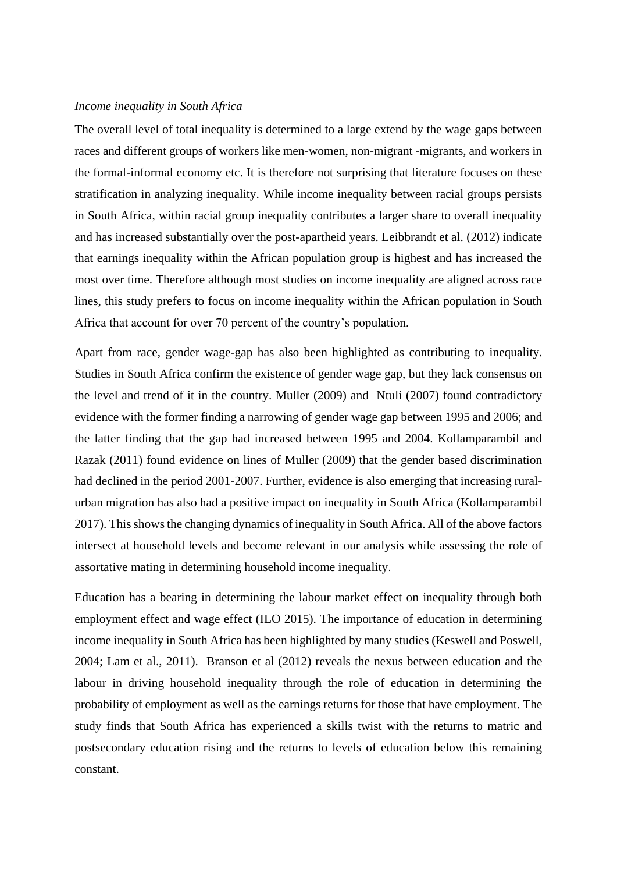### *Income inequality in South Africa*

The overall level of total inequality is determined to a large extend by the wage gaps between races and different groups of workers like men-women, non-migrant -migrants, and workers in the formal-informal economy etc. It is therefore not surprising that literature focuses on these stratification in analyzing inequality. While income inequality between racial groups persists in South Africa, within racial group inequality contributes a larger share to overall inequality and has increased substantially over the post-apartheid years. Leibbrandt et al. (2012) indicate that earnings inequality within the African population group is highest and has increased the most over time. Therefore although most studies on income inequality are aligned across race lines, this study prefers to focus on income inequality within the African population in South Africa that account for over 70 percent of the country's population.

Apart from race, gender wage-gap has also been highlighted as contributing to inequality. Studies in South Africa confirm the existence of gender wage gap, but they lack consensus on the level and trend of it in the country. Muller (2009) and Ntuli (2007) found contradictory evidence with the former finding a narrowing of gender wage gap between 1995 and 2006; and the latter finding that the gap had increased between 1995 and 2004. Kollamparambil and Razak (2011) found evidence on lines of Muller (2009) that the gender based discrimination had declined in the period 2001-2007. Further, evidence is also emerging that increasing ruralurban migration has also had a positive impact on inequality in South Africa (Kollamparambil 2017). This shows the changing dynamics of inequality in South Africa. All of the above factors intersect at household levels and become relevant in our analysis while assessing the role of assortative mating in determining household income inequality.

Education has a bearing in determining the labour market effect on inequality through both employment effect and wage effect (ILO 2015). The importance of education in determining income inequality in South Africa has been highlighted by many studies (Keswell and Poswell, 2004; Lam et al., 2011). Branson et al (2012) reveals the nexus between education and the labour in driving household inequality through the role of education in determining the probability of employment as well as the earnings returns for those that have employment. The study finds that South Africa has experienced a skills twist with the returns to matric and postsecondary education rising and the returns to levels of education below this remaining constant.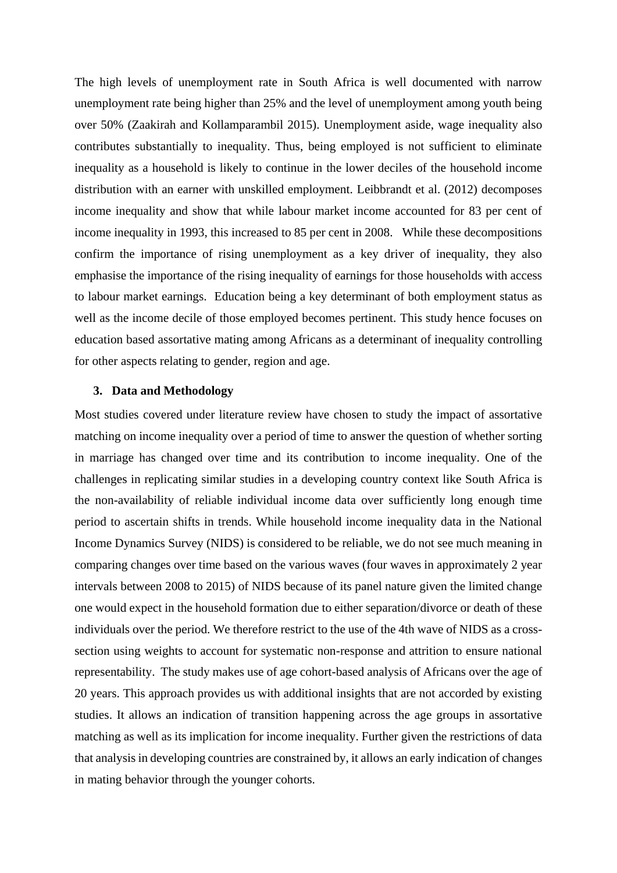The high levels of unemployment rate in South Africa is well documented with narrow unemployment rate being higher than 25% and the level of unemployment among youth being over 50% (Zaakirah and Kollamparambil 2015). Unemployment aside, wage inequality also contributes substantially to inequality. Thus, being employed is not sufficient to eliminate inequality as a household is likely to continue in the lower deciles of the household income distribution with an earner with unskilled employment. Leibbrandt et al. (2012) decomposes income inequality and show that while labour market income accounted for 83 per cent of income inequality in 1993, this increased to 85 per cent in 2008. While these decompositions confirm the importance of rising unemployment as a key driver of inequality, they also emphasise the importance of the rising inequality of earnings for those households with access to labour market earnings. Education being a key determinant of both employment status as well as the income decile of those employed becomes pertinent. This study hence focuses on education based assortative mating among Africans as a determinant of inequality controlling for other aspects relating to gender, region and age.

## **3. Data and Methodology**

Most studies covered under literature review have chosen to study the impact of assortative matching on income inequality over a period of time to answer the question of whether sorting in marriage has changed over time and its contribution to income inequality. One of the challenges in replicating similar studies in a developing country context like South Africa is the non-availability of reliable individual income data over sufficiently long enough time period to ascertain shifts in trends. While household income inequality data in the National Income Dynamics Survey (NIDS) is considered to be reliable, we do not see much meaning in comparing changes over time based on the various waves (four waves in approximately 2 year intervals between 2008 to 2015) of NIDS because of its panel nature given the limited change one would expect in the household formation due to either separation/divorce or death of these individuals over the period. We therefore restrict to the use of the 4th wave of NIDS as a crosssection using weights to account for systematic non-response and attrition to ensure national representability. The study makes use of age cohort-based analysis of Africans over the age of 20 years. This approach provides us with additional insights that are not accorded by existing studies. It allows an indication of transition happening across the age groups in assortative matching as well as its implication for income inequality. Further given the restrictions of data that analysis in developing countries are constrained by, it allows an early indication of changes in mating behavior through the younger cohorts.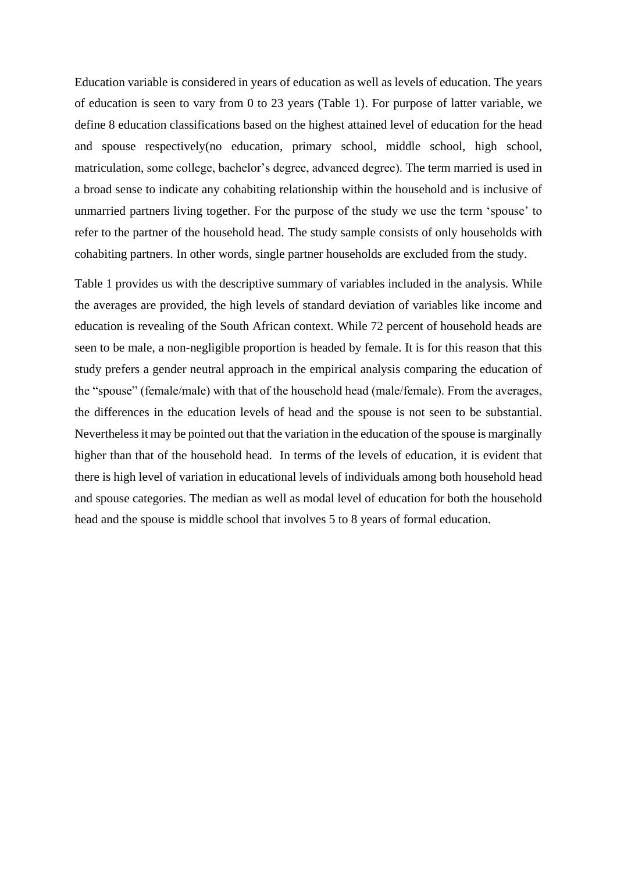Education variable is considered in years of education as well as levels of education. The years of education is seen to vary from 0 to 23 years (Table 1). For purpose of latter variable, we define 8 education classifications based on the highest attained level of education for the head and spouse respectively(no education, primary school, middle school, high school, matriculation, some college, bachelor's degree, advanced degree). The term married is used in a broad sense to indicate any cohabiting relationship within the household and is inclusive of unmarried partners living together. For the purpose of the study we use the term 'spouse' to refer to the partner of the household head. The study sample consists of only households with cohabiting partners. In other words, single partner households are excluded from the study.

Table 1 provides us with the descriptive summary of variables included in the analysis. While the averages are provided, the high levels of standard deviation of variables like income and education is revealing of the South African context. While 72 percent of household heads are seen to be male, a non-negligible proportion is headed by female. It is for this reason that this study prefers a gender neutral approach in the empirical analysis comparing the education of the "spouse" (female/male) with that of the household head (male/female). From the averages, the differences in the education levels of head and the spouse is not seen to be substantial. Nevertheless it may be pointed out that the variation in the education of the spouse is marginally higher than that of the household head. In terms of the levels of education, it is evident that there is high level of variation in educational levels of individuals among both household head and spouse categories. The median as well as modal level of education for both the household head and the spouse is middle school that involves 5 to 8 years of formal education.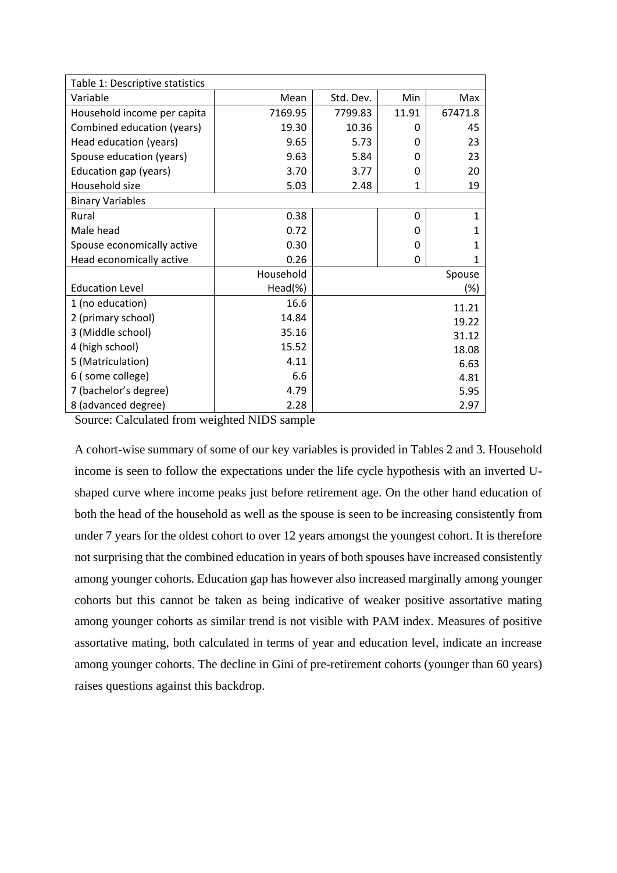| Table 1: Descriptive statistics |           |           |       |         |  |  |
|---------------------------------|-----------|-----------|-------|---------|--|--|
| Variable                        | Mean      | Std. Dev. | Min   | Max     |  |  |
| Household income per capita     | 7169.95   | 7799.83   | 11.91 | 67471.8 |  |  |
| Combined education (years)      | 19.30     | 10.36     | 0     | 45      |  |  |
| Head education (years)          | 9.65      | 5.73      | 0     | 23      |  |  |
| Spouse education (years)        | 9.63      | 5.84      | 0     | 23      |  |  |
| Education gap (years)           | 3.70      | 3.77      | 0     | 20      |  |  |
| Household size                  | 5.03      | 2.48      | 1     | 19      |  |  |
| <b>Binary Variables</b>         |           |           |       |         |  |  |
| Rural                           | 0.38      |           | 0     | 1       |  |  |
| Male head                       | 0.72      |           | 0     | 1       |  |  |
| Spouse economically active      | 0.30      |           | 0     | 1       |  |  |
| Head economically active        | 0.26      |           | 0     | 1       |  |  |
|                                 | Household |           |       | Spouse  |  |  |
| <b>Education Level</b>          | Head(%)   |           |       | (%)     |  |  |
| 1 (no education)                | 16.6      |           |       | 11.21   |  |  |
| 2 (primary school)              | 14.84     |           |       | 19.22   |  |  |
| 3 (Middle school)               | 35.16     |           |       | 31.12   |  |  |
| 4 (high school)                 | 15.52     |           |       | 18.08   |  |  |
| 5 (Matriculation)               | 4.11      |           |       | 6.63    |  |  |
| 6 (some college)                | 6.6       |           |       | 4.81    |  |  |
| 7 (bachelor's degree)           | 4.79      |           |       | 5.95    |  |  |
| 8 (advanced degree)             | 2.28      |           |       | 2.97    |  |  |

Source: Calculated from weighted NIDS sample

A cohort-wise summary of some of our key variables is provided in Tables 2 and 3. Household income is seen to follow the expectations under the life cycle hypothesis with an inverted Ushaped curve where income peaks just before retirement age. On the other hand education of both the head of the household as well as the spouse is seen to be increasing consistently from under 7 years for the oldest cohort to over 12 years amongst the youngest cohort. It is therefore not surprising that the combined education in years of both spouses have increased consistently among younger cohorts. Education gap has however also increased marginally among younger cohorts but this cannot be taken as being indicative of weaker positive assortative mating among younger cohorts as similar trend is not visible with PAM index. Measures of positive assortative mating, both calculated in terms of year and education level, indicate an increase among younger cohorts. The decline in Gini of pre-retirement cohorts (younger than 60 years) raises questions against this backdrop.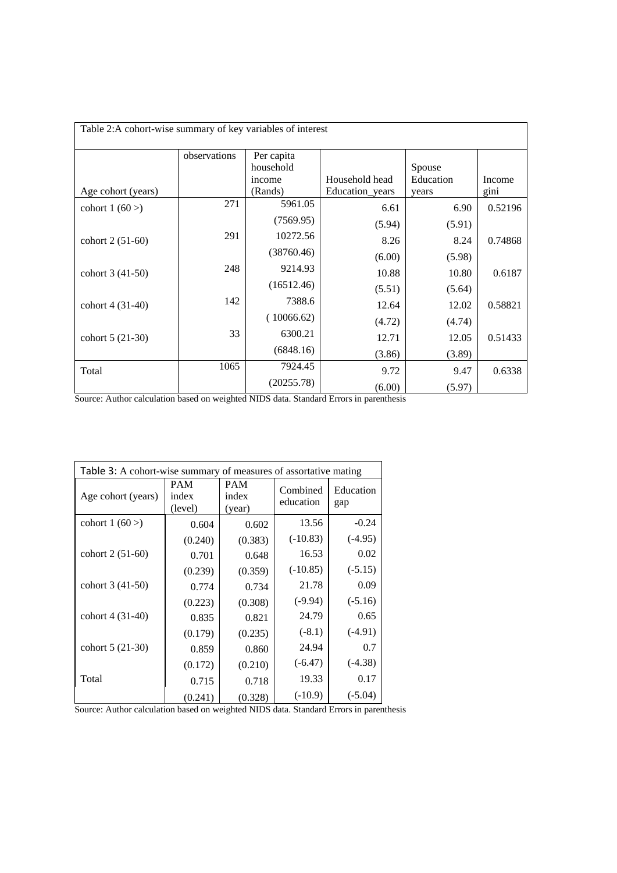| Table 2:A cohort-wise summary of key variables of interest |              |            |                 |           |         |  |  |
|------------------------------------------------------------|--------------|------------|-----------------|-----------|---------|--|--|
|                                                            |              |            |                 |           |         |  |  |
|                                                            | observations | Per capita |                 |           |         |  |  |
|                                                            |              | household  |                 | Spouse    |         |  |  |
|                                                            |              | income     | Household head  | Education | Income  |  |  |
| Age cohort (years)                                         |              | (Rands)    | Education_years | years     | gini    |  |  |
| cohort $1(60)$                                             | 271          | 5961.05    | 6.61            | 6.90      | 0.52196 |  |  |
|                                                            |              | (7569.95)  | (5.94)          | (5.91)    |         |  |  |
| cohort 2 (51-60)                                           | 291          | 10272.56   | 8.26            | 8.24      | 0.74868 |  |  |
|                                                            |              | (38760.46) | (6.00)          | (5.98)    |         |  |  |
| cohort 3 (41-50)                                           | 248          | 9214.93    | 10.88           | 10.80     | 0.6187  |  |  |
|                                                            |              | (16512.46) | (5.51)          | (5.64)    |         |  |  |
| cohort 4 (31-40)                                           | 142          | 7388.6     | 12.64           | 12.02     | 0.58821 |  |  |
|                                                            |              | (10066.62) | (4.72)          | (4.74)    |         |  |  |
| cohort 5 (21-30)                                           | 33           | 6300.21    | 12.71           | 12.05     | 0.51433 |  |  |
|                                                            |              | (6848.16)  | (3.86)          | (3.89)    |         |  |  |
| Total                                                      | 1065         | 7924.45    | 9.72            | 9.47      | 0.6338  |  |  |
|                                                            |              | (20255.78) | (6.00)          | (5.97)    |         |  |  |

Source: Author calculation based on weighted NIDS data. Standard Errors in parenthesis

| Table 3: A cohort-wise summary of measures of assortative mating |                                |                        |                       |                  |  |  |
|------------------------------------------------------------------|--------------------------------|------------------------|-----------------------|------------------|--|--|
| Age cohort (years)                                               | <b>PAM</b><br>index<br>(level) | PAM<br>index<br>(year) | Combined<br>education | Education<br>gap |  |  |
| cohort $1(60)$                                                   | 0.604                          | 0.602                  | 13.56                 | $-0.24$          |  |  |
|                                                                  | (0.240)                        | (0.383)                | $(-10.83)$            | $(-4.95)$        |  |  |
| cohort 2 (51-60)                                                 | 0.701                          | 0.648                  | 16.53                 | 0.02             |  |  |
|                                                                  | (0.239)                        | (0.359)                | $(-10.85)$            | $(-5.15)$        |  |  |
| cohort 3 (41-50)                                                 | 0.774                          | 0.734                  | 21.78                 | 0.09             |  |  |
|                                                                  | (0.223)                        | (0.308)                | $(-9.94)$             | $(-5.16)$        |  |  |
| cohort 4 (31-40)                                                 | 0.835                          | 0.821                  | 24.79                 | 0.65             |  |  |
|                                                                  | (0.179)                        | (0.235)                | $(-8.1)$              | $(-4.91)$        |  |  |
| cohort 5 (21-30)                                                 | 0.859                          | 0.860                  | 24.94                 | 0.7              |  |  |
|                                                                  | (0.172)                        | (0.210)                | $(-6.47)$             | $(-4.38)$        |  |  |
| Total                                                            | 0.715                          | 0.718                  | 19.33                 | 0.17             |  |  |
|                                                                  | (0.241)                        | (0.328)                | $(-10.9)$             | $(-5.04)$        |  |  |

Source: Author calculation based on weighted NIDS data. Standard Errors in parenthesis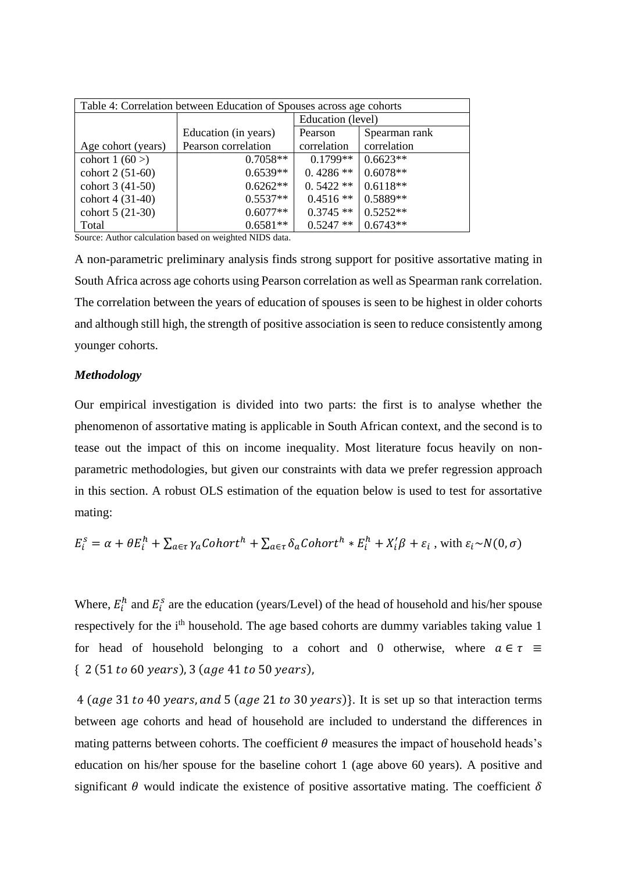| Table 4: Correlation between Education of Spouses across age cohorts |                      |                   |               |  |  |
|----------------------------------------------------------------------|----------------------|-------------------|---------------|--|--|
|                                                                      |                      | Education (level) |               |  |  |
|                                                                      | Education (in years) | Pearson           | Spearman rank |  |  |
| Age cohort (years)                                                   | Pearson correlation  | correlation       | correlation   |  |  |
| cohort $1(60)$                                                       | $0.7058**$           | $0.1799**$        | $0.6623**$    |  |  |
| cohort 2 (51-60)                                                     | $0.6539**$           | $0.4286**$        | $0.6078**$    |  |  |
| cohort 3 (41-50)                                                     | $0.6262**$           | $0.5422**$        | $0.6118**$    |  |  |
| cohort 4 (31-40)                                                     | $0.5537**$           | $0.4516**$        | $0.5889**$    |  |  |
| cohort 5 (21-30)                                                     | $0.6077**$           | $0.3745**$        | $0.5252**$    |  |  |
| Total                                                                | $0.6581**$           | $0.5247**$        | $0.6743**$    |  |  |

Source: Author calculation based on weighted NIDS data.

A non-parametric preliminary analysis finds strong support for positive assortative mating in South Africa across age cohorts using Pearson correlation as well as Spearman rank correlation. The correlation between the years of education of spouses is seen to be highest in older cohorts and although still high, the strength of positive association is seen to reduce consistently among younger cohorts.

### *Methodology*

Our empirical investigation is divided into two parts: the first is to analyse whether the phenomenon of assortative mating is applicable in South African context, and the second is to tease out the impact of this on income inequality. Most literature focus heavily on nonparametric methodologies, but given our constraints with data we prefer regression approach in this section. A robust OLS estimation of the equation below is used to test for assortative mating:

$$
E_i^s = \alpha + \theta E_i^h + \sum_{a \in \tau} \gamma_a \text{Cohort}^h + \sum_{a \in \tau} \delta_a \text{Cohort}^h * E_i^h + X_i^{\prime} \beta + \varepsilon_i \text{, with } \varepsilon_i \sim N(0, \sigma)
$$

Where,  $E_i^h$  and  $E_i^s$  are the education (years/Level) of the head of household and his/her spouse respectively for the i<sup>th</sup> household. The age based cohorts are dummy variables taking value 1 for head of household belonging to a cohort and 0 otherwise, where  $a \in \tau \equiv$  $\{ 2 (51 to 60 years), 3 (age 41 to 50 years),$ 

4 (age 31 to 40 years, and 5 (age 21 to 30 years). It is set up so that interaction terms between age cohorts and head of household are included to understand the differences in mating patterns between cohorts. The coefficient  $\theta$  measures the impact of household heads's education on his/her spouse for the baseline cohort 1 (age above 60 years). A positive and significant  $\theta$  would indicate the existence of positive assortative mating. The coefficient  $\delta$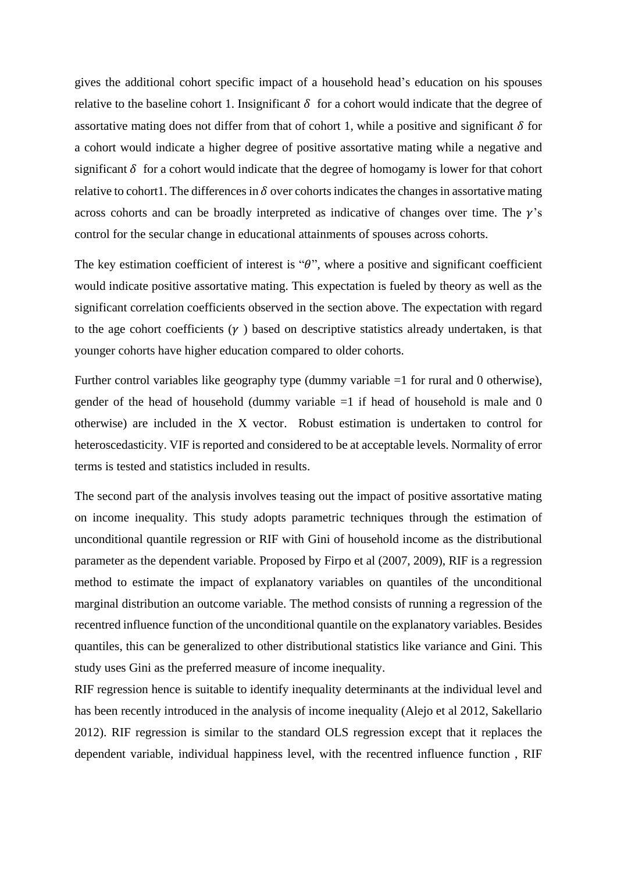gives the additional cohort specific impact of a household head's education on his spouses relative to the baseline cohort 1. Insignificant  $\delta$  for a cohort would indicate that the degree of assortative mating does not differ from that of cohort 1, while a positive and significant  $\delta$  for a cohort would indicate a higher degree of positive assortative mating while a negative and significant  $\delta$  for a cohort would indicate that the degree of homogamy is lower for that cohort relative to cohort1. The differences in  $\delta$  over cohorts indicates the changes in assortative mating across cohorts and can be broadly interpreted as indicative of changes over time. The  $\gamma$ 's control for the secular change in educational attainments of spouses across cohorts.

The key estimation coefficient of interest is " $\theta$ ", where a positive and significant coefficient would indicate positive assortative mating. This expectation is fueled by theory as well as the significant correlation coefficients observed in the section above. The expectation with regard to the age cohort coefficients  $(\gamma)$  based on descriptive statistics already undertaken, is that younger cohorts have higher education compared to older cohorts.

Further control variables like geography type (dummy variable =1 for rural and 0 otherwise), gender of the head of household (dummy variable  $=1$  if head of household is male and 0 otherwise) are included in the X vector. Robust estimation is undertaken to control for heteroscedasticity. VIF is reported and considered to be at acceptable levels. Normality of error terms is tested and statistics included in results.

The second part of the analysis involves teasing out the impact of positive assortative mating on income inequality. This study adopts parametric techniques through the estimation of unconditional quantile regression or RIF with Gini of household income as the distributional parameter as the dependent variable. Proposed by Firpo et al (2007, 2009), RIF is a regression method to estimate the impact of explanatory variables on quantiles of the unconditional marginal distribution an outcome variable. The method consists of running a regression of the recentred influence function of the unconditional quantile on the explanatory variables. Besides quantiles, this can be generalized to other distributional statistics like variance and Gini. This study uses Gini as the preferred measure of income inequality.

RIF regression hence is suitable to identify inequality determinants at the individual level and has been recently introduced in the analysis of income inequality (Alejo et al 2012, Sakellario 2012). RIF regression is similar to the standard OLS regression except that it replaces the dependent variable, individual happiness level, with the recentred influence function , RIF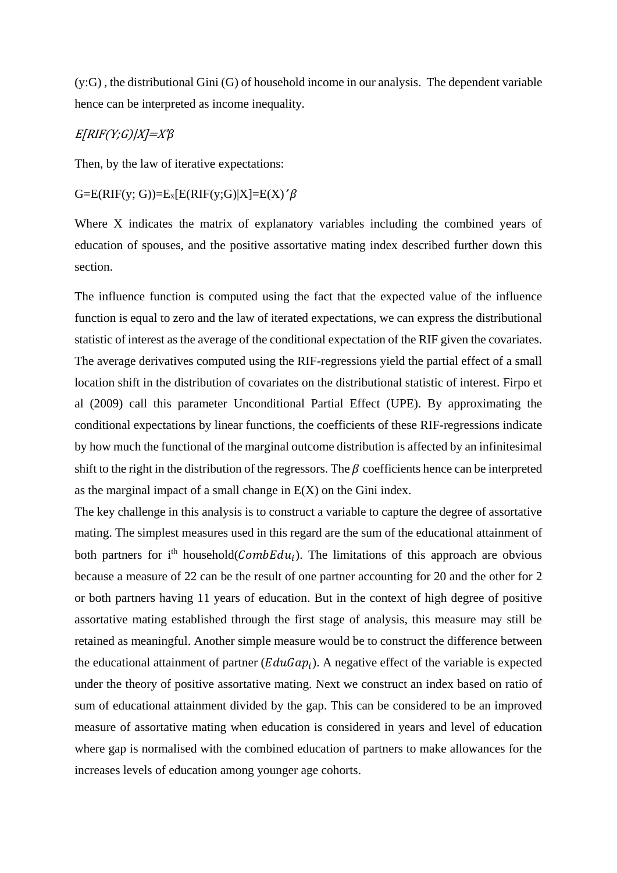(y:G) , the distributional Gini (G) of household income in our analysis. The dependent variable hence can be interpreted as income inequality.

# $E[RIF(Y;G)/X]=X'B$

Then, by the law of iterative expectations:

# $G=E(RIF(y; G))=E_x[E(RIF(y; G)|X]=E(X)'\beta$

Where X indicates the matrix of explanatory variables including the combined years of education of spouses, and the positive assortative mating index described further down this section.

The influence function is computed using the fact that the expected value of the influence function is equal to zero and the law of iterated expectations, we can express the distributional statistic of interest as the average of the conditional expectation of the RIF given the covariates. The average derivatives computed using the RIF-regressions yield the partial effect of a small location shift in the distribution of covariates on the distributional statistic of interest. Firpo et al (2009) call this parameter Unconditional Partial Effect (UPE). By approximating the conditional expectations by linear functions, the coefficients of these RIF-regressions indicate by how much the functional of the marginal outcome distribution is affected by an infinitesimal shift to the right in the distribution of the regressors. The  $\beta$  coefficients hence can be interpreted as the marginal impact of a small change in  $E(X)$  on the Gini index.

The key challenge in this analysis is to construct a variable to capture the degree of assortative mating. The simplest measures used in this regard are the sum of the educational attainment of both partners for i<sup>th</sup> household(*CombEdu<sub>i</sub>*). The limitations of this approach are obvious because a measure of 22 can be the result of one partner accounting for 20 and the other for 2 or both partners having 11 years of education. But in the context of high degree of positive assortative mating established through the first stage of analysis, this measure may still be retained as meaningful. Another simple measure would be to construct the difference between the educational attainment of partner  $(EduGap_i)$ . A negative effect of the variable is expected under the theory of positive assortative mating. Next we construct an index based on ratio of sum of educational attainment divided by the gap. This can be considered to be an improved measure of assortative mating when education is considered in years and level of education where gap is normalised with the combined education of partners to make allowances for the increases levels of education among younger age cohorts.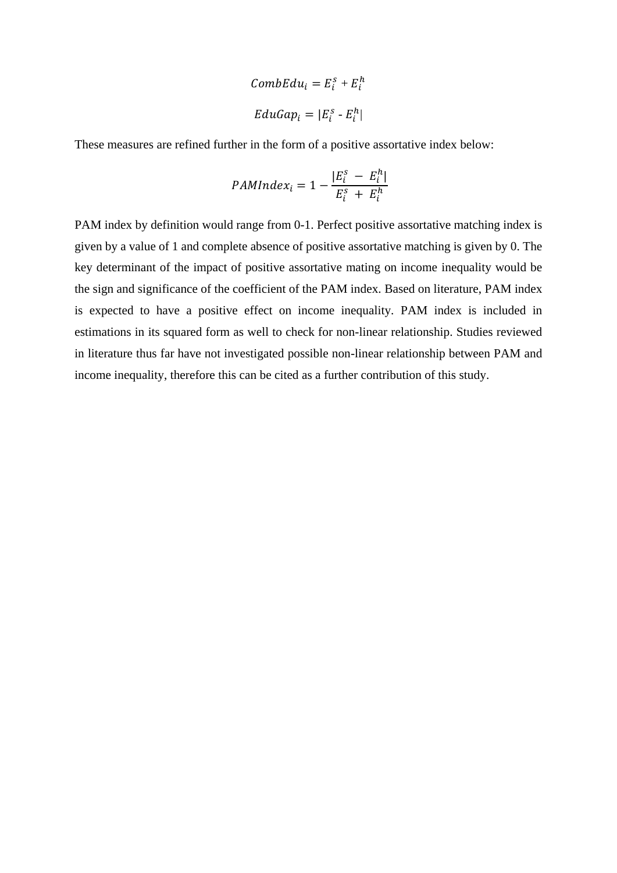$$
CombEdu_i = E_i^s + E_i^h
$$

$$
EduGap_i = |E_i^s - E_i^h|
$$

These measures are refined further in the form of a positive assortative index below:

$$
PAMIndex_i = 1 - \frac{|E_i^s - E_i^h|}{E_i^s + E_i^h}
$$

PAM index by definition would range from 0-1. Perfect positive assortative matching index is given by a value of 1 and complete absence of positive assortative matching is given by 0. The key determinant of the impact of positive assortative mating on income inequality would be the sign and significance of the coefficient of the PAM index. Based on literature, PAM index is expected to have a positive effect on income inequality. PAM index is included in estimations in its squared form as well to check for non-linear relationship. Studies reviewed in literature thus far have not investigated possible non-linear relationship between PAM and income inequality, therefore this can be cited as a further contribution of this study.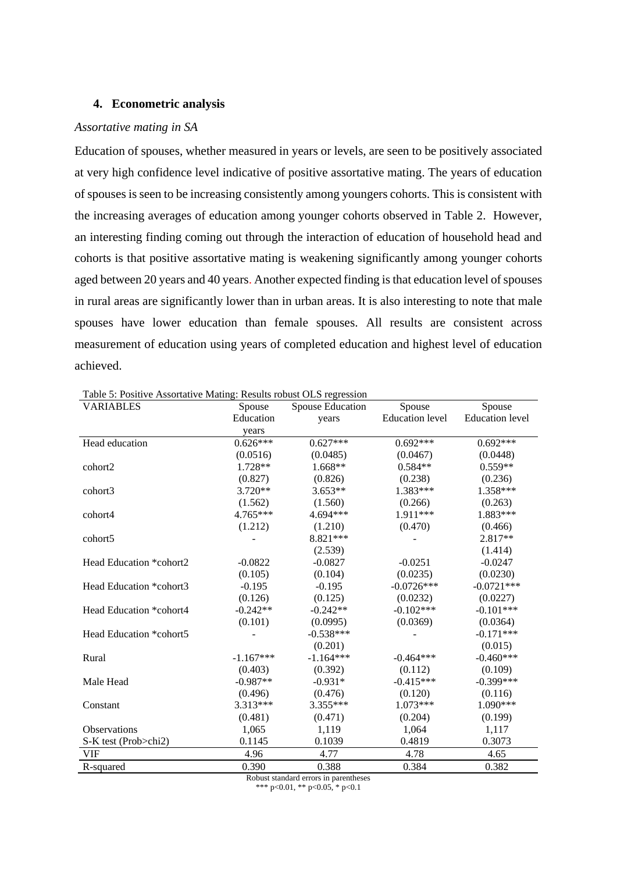### **4. Econometric analysis**

#### *Assortative mating in SA*

Education of spouses, whether measured in years or levels, are seen to be positively associated at very high confidence level indicative of positive assortative mating. The years of education of spouses is seen to be increasing consistently among youngers cohorts. This is consistent with the increasing averages of education among younger cohorts observed in Table 2. However, an interesting finding coming out through the interaction of education of household head and cohorts is that positive assortative mating is weakening significantly among younger cohorts aged between 20 years and 40 years. Another expected finding is that education level of spouses in rural areas are significantly lower than in urban areas. It is also interesting to note that male spouses have lower education than female spouses. All results are consistent across measurement of education using years of completed education and highest level of education achieved.

| Tuble 3. I Control Rosoftan ve Matthews, Results Topdon Olio Tegression<br><b>VARIABLES</b> | Spouse      | Spouse Education | Spouse                 | Spouse                 |  |
|---------------------------------------------------------------------------------------------|-------------|------------------|------------------------|------------------------|--|
|                                                                                             | Education   | years            | <b>Education</b> level | <b>Education</b> level |  |
|                                                                                             | years       |                  |                        |                        |  |
| Head education                                                                              | $0.626***$  | $0.627***$       | $0.692***$             | $0.692***$             |  |
|                                                                                             | (0.0516)    | (0.0485)         | (0.0467)               | (0.0448)               |  |
| cohort2                                                                                     | 1.728**     | $1.668**$        | $0.584**$              | $0.559**$              |  |
|                                                                                             | (0.827)     | (0.826)          | (0.238)                | (0.236)                |  |
| cohort3                                                                                     | 3.720**     | $3.653**$        | 1.383***               | 1.358***               |  |
|                                                                                             | (1.562)     | (1.560)          | (0.266)                | (0.263)                |  |
| cohort4                                                                                     | 4.765***    | 4.694***         | 1.911***               | 1.883***               |  |
|                                                                                             | (1.212)     | (1.210)          | (0.470)                | (0.466)                |  |
| cohort5                                                                                     |             | 8.821 ***        |                        | 2.817**                |  |
|                                                                                             |             | (2.539)          |                        | (1.414)                |  |
| Head Education *cohort2                                                                     | $-0.0822$   | $-0.0827$        | $-0.0251$              | $-0.0247$              |  |
|                                                                                             | (0.105)     | (0.104)          | (0.0235)               | (0.0230)               |  |
| Head Education *cohort3                                                                     | $-0.195$    | $-0.195$         | $-0.0726***$           | $-0.0721***$           |  |
|                                                                                             | (0.126)     | (0.125)          | (0.0232)               | (0.0227)               |  |
| Head Education *cohort4                                                                     | $-0.242**$  | $-0.242**$       | $-0.102***$            | $-0.101***$            |  |
|                                                                                             | (0.101)     | (0.0995)         | (0.0369)               | (0.0364)               |  |
| Head Education *cohort5                                                                     |             | $-0.538***$      |                        | $-0.171***$            |  |
|                                                                                             |             | (0.201)          |                        | (0.015)                |  |
| Rural                                                                                       | $-1.167***$ | $-1.164***$      | $-0.464***$            | $-0.460***$            |  |
|                                                                                             | (0.403)     | (0.392)          | (0.112)                | (0.109)                |  |
| Male Head                                                                                   | $-0.987**$  | $-0.931*$        | $-0.415***$            | $-0.399***$            |  |
|                                                                                             | (0.496)     | (0.476)          | (0.120)                | (0.116)                |  |
| Constant                                                                                    | $3.313***$  | 3.355***         | $1.073***$             | $1.090***$             |  |
|                                                                                             | (0.481)     | (0.471)          | (0.204)                | (0.199)                |  |
| Observations                                                                                | 1,065       | 1,119            | 1,064                  | 1,117                  |  |
| S-K test (Prob>chi2)                                                                        | 0.1145      | 0.1039           | 0.4819                 | 0.3073                 |  |
| <b>VIF</b>                                                                                  | 4.96        | 4.77             | 4.78                   | 4.65                   |  |
| R-squared                                                                                   | 0.390       | 0.388            | 0.384                  | 0.382                  |  |
| Robust standard errors in parentheses                                                       |             |                  |                        |                        |  |

Table 5: Positive Assortative Mating: Results robust OLS regression

\*\*\* p<0.01, \*\* p<0.05, \* p<0.1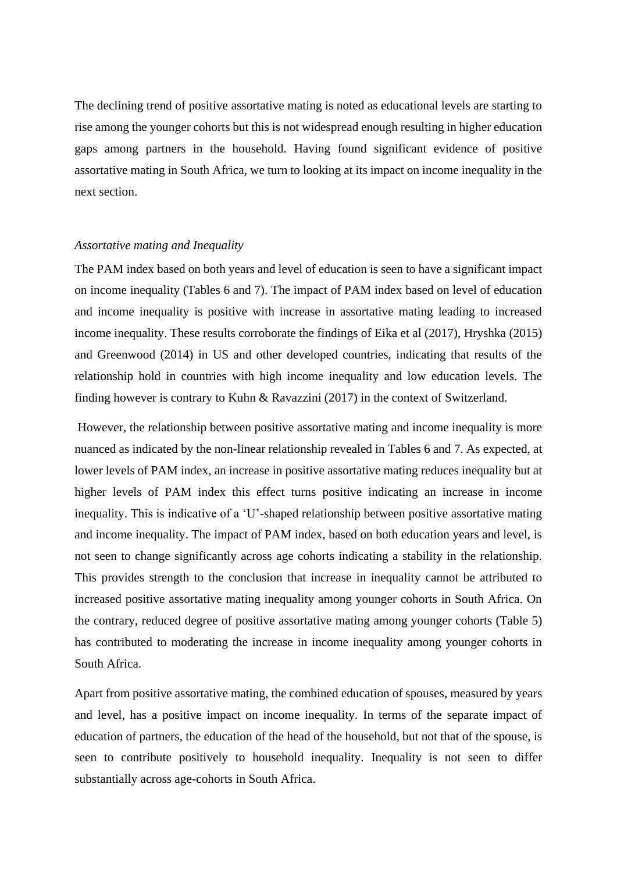The declining trend of positive assortative mating is noted as educational levels are starting to rise among the younger cohorts but this is not widespread enough resulting in higher education gaps among partners in the household. Having found significant evidence of positive assortative mating in South Africa, we turn to looking at its impact on income inequality in the next section.

### *Assortative mating and Inequality*

The PAM index based on both years and level of education is seen to have a significant impact on income inequality (Tables 6 and 7). The impact of PAM index based on level of education and income inequality is positive with increase in assortative mating leading to increased income inequality. These results corroborate the findings of Eika et al (2017), Hryshka (2015) and Greenwood (2014) in US and other developed countries, indicating that results of the relationship hold in countries with high income inequality and low education levels. The finding however is contrary to Kuhn & Ravazzini (2017) in the context of Switzerland.

However, the relationship between positive assortative mating and income inequality is more nuanced as indicated by the non-linear relationship revealed in Tables 6 and 7. As expected, at lower levels of PAM index, an increase in positive assortative mating reduces inequality but at higher levels of PAM index this effect turns positive indicating an increase in income inequality. This is indicative of a 'U'-shaped relationship between positive assortative mating and income inequality. The impact of PAM index, based on both education years and level, is not seen to change significantly across age cohorts indicating a stability in the relationship. This provides strength to the conclusion that increase in inequality cannot be attributed to increased positive assortative mating inequality among younger cohorts in South Africa. On the contrary, reduced degree of positive assortative mating among younger cohorts (Table 5) has contributed to moderating the increase in income inequality among younger cohorts in South Africa.

Apart from positive assortative mating, the combined education of spouses, measured by years and level, has a positive impact on income inequality. In terms of the separate impact of education of partners, the education of the head of the household, but not that of the spouse, is seen to contribute positively to household inequality. Inequality is not seen to differ substantially across age-cohorts in South Africa.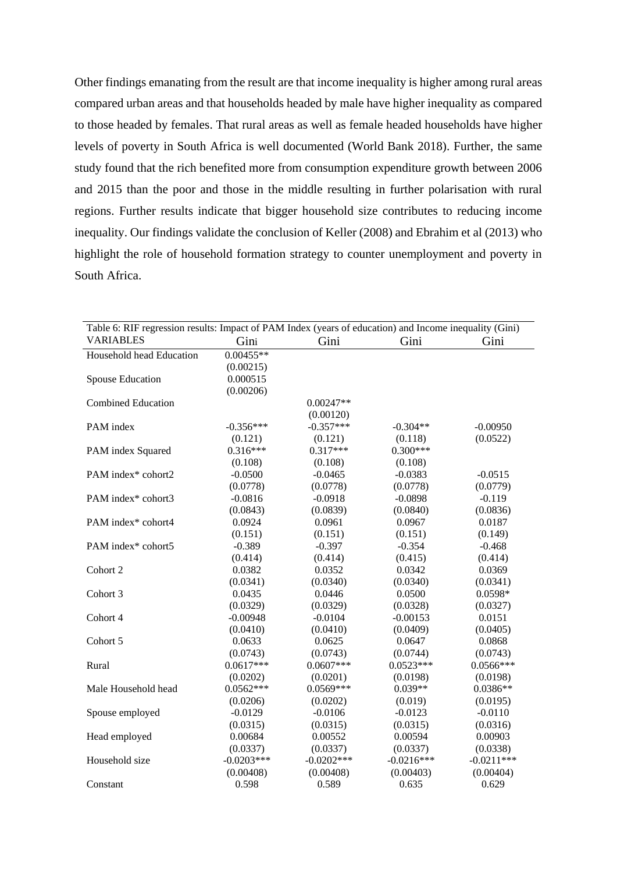Other findings emanating from the result are that income inequality is higher among rural areas compared urban areas and that households headed by male have higher inequality as compared to those headed by females. That rural areas as well as female headed households have higher levels of poverty in South Africa is well documented (World Bank 2018). Further, the same study found that the rich benefited more from consumption expenditure growth between 2006 and 2015 than the poor and those in the middle resulting in further polarisation with rural regions. Further results indicate that bigger household size contributes to reducing income inequality. Our findings validate the conclusion of Keller (2008) and Ebrahim et al (2013) who highlight the role of household formation strategy to counter unemployment and poverty in South Africa.

| Table 6: RIF regression results: Impact of PAM Index (years of education) and Income inequality (Gini) |              |              |              |              |  |
|--------------------------------------------------------------------------------------------------------|--------------|--------------|--------------|--------------|--|
| <b>VARIABLES</b>                                                                                       | Gini         | Gini         | Gini         | Gini         |  |
| Household head Education                                                                               | $0.00455**$  |              |              |              |  |
|                                                                                                        | (0.00215)    |              |              |              |  |
| <b>Spouse Education</b>                                                                                | 0.000515     |              |              |              |  |
|                                                                                                        | (0.00206)    |              |              |              |  |
| <b>Combined Education</b>                                                                              |              | $0.00247**$  |              |              |  |
|                                                                                                        |              | (0.00120)    |              |              |  |
| PAM index                                                                                              | $-0.356***$  | $-0.357***$  | $-0.304**$   | $-0.00950$   |  |
|                                                                                                        | (0.121)      | (0.121)      | (0.118)      | (0.0522)     |  |
| PAM index Squared                                                                                      | $0.316***$   | $0.317***$   | $0.300***$   |              |  |
|                                                                                                        | (0.108)      | (0.108)      | (0.108)      |              |  |
| PAM index* cohort2                                                                                     | $-0.0500$    | $-0.0465$    | $-0.0383$    | $-0.0515$    |  |
|                                                                                                        | (0.0778)     | (0.0778)     | (0.0778)     | (0.0779)     |  |
| PAM index* cohort3                                                                                     | $-0.0816$    | $-0.0918$    | $-0.0898$    | $-0.119$     |  |
|                                                                                                        | (0.0843)     | (0.0839)     | (0.0840)     | (0.0836)     |  |
| PAM index* cohort4                                                                                     | 0.0924       | 0.0961       | 0.0967       | 0.0187       |  |
|                                                                                                        | (0.151)      | (0.151)      | (0.151)      | (0.149)      |  |
| PAM index* cohort5                                                                                     | $-0.389$     | $-0.397$     | $-0.354$     | $-0.468$     |  |
|                                                                                                        | (0.414)      | (0.414)      | (0.415)      | (0.414)      |  |
| Cohort 2                                                                                               | 0.0382       | 0.0352       | 0.0342       | 0.0369       |  |
|                                                                                                        | (0.0341)     | (0.0340)     | (0.0340)     | (0.0341)     |  |
| Cohort 3                                                                                               | 0.0435       | 0.0446       | 0.0500       | 0.0598*      |  |
|                                                                                                        | (0.0329)     | (0.0329)     | (0.0328)     | (0.0327)     |  |
| Cohort 4                                                                                               | $-0.00948$   | $-0.0104$    | $-0.00153$   | 0.0151       |  |
|                                                                                                        | (0.0410)     | (0.0410)     | (0.0409)     | (0.0405)     |  |
| Cohort 5                                                                                               | 0.0633       | 0.0625       | 0.0647       | 0.0868       |  |
|                                                                                                        | (0.0743)     | (0.0743)     | (0.0744)     | (0.0743)     |  |
| Rural                                                                                                  | $0.0617***$  | $0.0607***$  | $0.0523***$  | $0.0566***$  |  |
|                                                                                                        | (0.0202)     | (0.0201)     | (0.0198)     | (0.0198)     |  |
| Male Household head                                                                                    | $0.0562***$  | $0.0569***$  | $0.039**$    | $0.0386**$   |  |
|                                                                                                        | (0.0206)     | (0.0202)     | (0.019)      | (0.0195)     |  |
| Spouse employed                                                                                        | $-0.0129$    | $-0.0106$    | $-0.0123$    | $-0.0110$    |  |
|                                                                                                        | (0.0315)     | (0.0315)     | (0.0315)     | (0.0316)     |  |
| Head employed                                                                                          | 0.00684      | 0.00552      | 0.00594      | 0.00903      |  |
|                                                                                                        | (0.0337)     | (0.0337)     | (0.0337)     | (0.0338)     |  |
| Household size                                                                                         | $-0.0203***$ | $-0.0202***$ | $-0.0216***$ | $-0.0211***$ |  |
|                                                                                                        | (0.00408)    | (0.00408)    | (0.00403)    | (0.00404)    |  |
| Constant                                                                                               | 0.598        | 0.589        | 0.635        | 0.629        |  |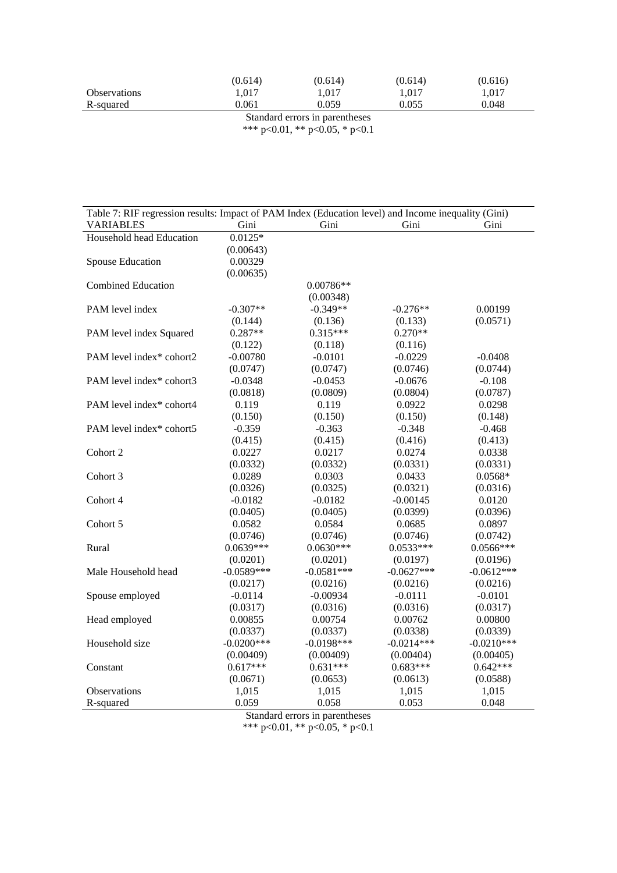|                     | (0.614) | (0.614) | (0.614) | (0.616) |
|---------------------|---------|---------|---------|---------|
| <b>Observations</b> | 1.017   | 1.017   | 1.017   | 1.017   |
| R-squared           | 0.061   | 0.059   | 0.055   | 0.048   |
|                     |         |         |         |         |

Standard errors in parentheses \*\*\* p<0.01, \*\* p<0.05, \* p<0.1

| Table 7: RIF regression results: Impact of PAM Index (Education level) and Income inequality (Gini) |               |              |              |              |  |
|-----------------------------------------------------------------------------------------------------|---------------|--------------|--------------|--------------|--|
| <b>VARIABLES</b>                                                                                    | Gini          | Gini         | Gini         | Gini         |  |
| Household head Education                                                                            | $0.0125*$     |              |              |              |  |
|                                                                                                     | (0.00643)     |              |              |              |  |
| Spouse Education                                                                                    | 0.00329       |              |              |              |  |
|                                                                                                     | (0.00635)     |              |              |              |  |
| <b>Combined Education</b>                                                                           |               | 0.00786**    |              |              |  |
|                                                                                                     |               | (0.00348)    |              |              |  |
| PAM level index                                                                                     | $-0.307**$    | $-0.349**$   | $-0.276**$   | 0.00199      |  |
|                                                                                                     | (0.144)       | (0.136)      | (0.133)      | (0.0571)     |  |
| PAM level index Squared                                                                             | $0.287**$     | $0.315***$   | $0.270**$    |              |  |
|                                                                                                     | (0.122)       | (0.118)      | (0.116)      |              |  |
| PAM level index* cohort2                                                                            | $-0.00780$    | $-0.0101$    | $-0.0229$    | $-0.0408$    |  |
|                                                                                                     | (0.0747)      | (0.0747)     | (0.0746)     | (0.0744)     |  |
| PAM level index* cohort3                                                                            | $-0.0348$     | $-0.0453$    | $-0.0676$    | $-0.108$     |  |
|                                                                                                     | (0.0818)      | (0.0809)     | (0.0804)     | (0.0787)     |  |
| PAM level index* cohort4                                                                            | 0.119         | 0.119        | 0.0922       | 0.0298       |  |
|                                                                                                     | (0.150)       | (0.150)      | (0.150)      | (0.148)      |  |
| PAM level index* cohort5                                                                            | $-0.359$      | $-0.363$     | $-0.348$     | $-0.468$     |  |
|                                                                                                     | (0.415)       | (0.415)      | (0.416)      | (0.413)      |  |
| Cohort 2                                                                                            | 0.0227        | 0.0217       | 0.0274       | 0.0338       |  |
|                                                                                                     | (0.0332)      | (0.0332)     | (0.0331)     | (0.0331)     |  |
| Cohort 3                                                                                            | 0.0289        | 0.0303       | 0.0433       | $0.0568*$    |  |
|                                                                                                     | (0.0326)      | (0.0325)     | (0.0321)     | (0.0316)     |  |
| Cohort 4                                                                                            | $-0.0182$     | $-0.0182$    | $-0.00145$   | 0.0120       |  |
|                                                                                                     | (0.0405)      | (0.0405)     | (0.0399)     | (0.0396)     |  |
| Cohort 5                                                                                            | 0.0582        | 0.0584       | 0.0685       | 0.0897       |  |
|                                                                                                     | (0.0746)      | (0.0746)     | (0.0746)     | (0.0742)     |  |
| Rural                                                                                               | $0.0639***$   | $0.0630***$  | $0.0533***$  | $0.0566***$  |  |
|                                                                                                     | (0.0201)      | (0.0201)     | (0.0197)     | (0.0196)     |  |
| Male Household head                                                                                 | $-0.0589***$  | $-0.0581***$ | $-0.0627***$ | $-0.0612***$ |  |
|                                                                                                     | (0.0217)      | (0.0216)     | (0.0216)     | (0.0216)     |  |
| Spouse employed                                                                                     | $-0.0114$     | $-0.00934$   | $-0.0111$    | $-0.0101$    |  |
|                                                                                                     | (0.0317)      | (0.0316)     | (0.0316)     | (0.0317)     |  |
| Head employed                                                                                       | 0.00855       | 0.00754      | 0.00762      | 0.00800      |  |
|                                                                                                     | (0.0337)      | (0.0337)     | (0.0338)     | (0.0339)     |  |
| Household size                                                                                      | $-0.0200$ *** | $-0.0198***$ | $-0.0214***$ | $-0.0210***$ |  |
|                                                                                                     | (0.00409)     | (0.00409)    | (0.00404)    | (0.00405)    |  |
| Constant                                                                                            | $0.617***$    | $0.631***$   | $0.683***$   | $0.642***$   |  |
|                                                                                                     | (0.0671)      | (0.0653)     | (0.0613)     | (0.0588)     |  |
| Observations                                                                                        | 1,015         | 1,015        | 1,015        | 1,015        |  |
| R-squared                                                                                           | 0.059         | 0.058        | 0.053        | 0.048        |  |
| Standard errors in parentheses                                                                      |               |              |              |              |  |

\*\*\* p<0.01, \*\* p<0.05, \* p<0.1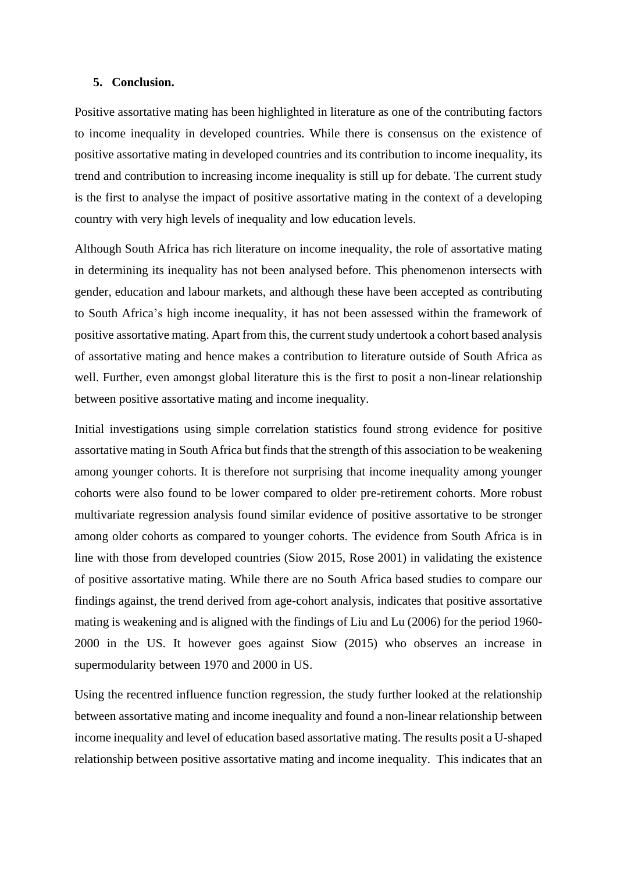### **5. Conclusion.**

Positive assortative mating has been highlighted in literature as one of the contributing factors to income inequality in developed countries. While there is consensus on the existence of positive assortative mating in developed countries and its contribution to income inequality, its trend and contribution to increasing income inequality is still up for debate. The current study is the first to analyse the impact of positive assortative mating in the context of a developing country with very high levels of inequality and low education levels.

Although South Africa has rich literature on income inequality, the role of assortative mating in determining its inequality has not been analysed before. This phenomenon intersects with gender, education and labour markets, and although these have been accepted as contributing to South Africa's high income inequality, it has not been assessed within the framework of positive assortative mating. Apart from this, the current study undertook a cohort based analysis of assortative mating and hence makes a contribution to literature outside of South Africa as well. Further, even amongst global literature this is the first to posit a non-linear relationship between positive assortative mating and income inequality.

Initial investigations using simple correlation statistics found strong evidence for positive assortative mating in South Africa but finds that the strength of this association to be weakening among younger cohorts. It is therefore not surprising that income inequality among younger cohorts were also found to be lower compared to older pre-retirement cohorts. More robust multivariate regression analysis found similar evidence of positive assortative to be stronger among older cohorts as compared to younger cohorts. The evidence from South Africa is in line with those from developed countries (Siow 2015, Rose 2001) in validating the existence of positive assortative mating. While there are no South Africa based studies to compare our findings against, the trend derived from age-cohort analysis, indicates that positive assortative mating is weakening and is aligned with the findings of Liu and Lu (2006) for the period 1960- 2000 in the US. It however goes against Siow (2015) who observes an increase in supermodularity between 1970 and 2000 in US.

Using the recentred influence function regression, the study further looked at the relationship between assortative mating and income inequality and found a non-linear relationship between income inequality and level of education based assortative mating. The results posit a U-shaped relationship between positive assortative mating and income inequality. This indicates that an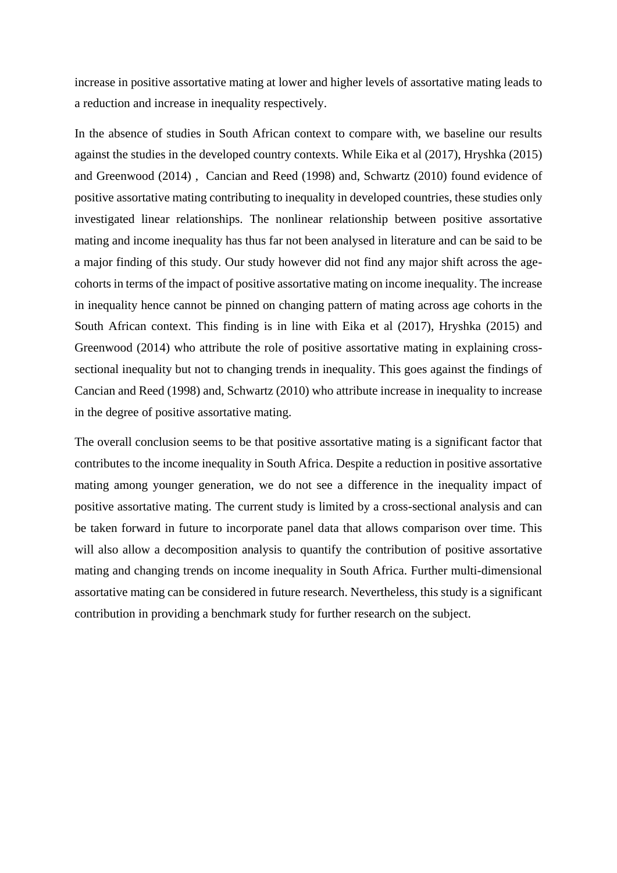increase in positive assortative mating at lower and higher levels of assortative mating leads to a reduction and increase in inequality respectively.

In the absence of studies in South African context to compare with, we baseline our results against the studies in the developed country contexts. While Eika et al (2017), Hryshka (2015) and Greenwood (2014) , Cancian and Reed (1998) and, Schwartz (2010) found evidence of positive assortative mating contributing to inequality in developed countries, these studies only investigated linear relationships. The nonlinear relationship between positive assortative mating and income inequality has thus far not been analysed in literature and can be said to be a major finding of this study. Our study however did not find any major shift across the agecohorts in terms of the impact of positive assortative mating on income inequality. The increase in inequality hence cannot be pinned on changing pattern of mating across age cohorts in the South African context. This finding is in line with Eika et al (2017), Hryshka (2015) and Greenwood (2014) who attribute the role of positive assortative mating in explaining crosssectional inequality but not to changing trends in inequality. This goes against the findings of Cancian and Reed (1998) and, Schwartz (2010) who attribute increase in inequality to increase in the degree of positive assortative mating.

The overall conclusion seems to be that positive assortative mating is a significant factor that contributes to the income inequality in South Africa. Despite a reduction in positive assortative mating among younger generation, we do not see a difference in the inequality impact of positive assortative mating. The current study is limited by a cross-sectional analysis and can be taken forward in future to incorporate panel data that allows comparison over time. This will also allow a decomposition analysis to quantify the contribution of positive assortative mating and changing trends on income inequality in South Africa. Further multi-dimensional assortative mating can be considered in future research. Nevertheless, this study is a significant contribution in providing a benchmark study for further research on the subject.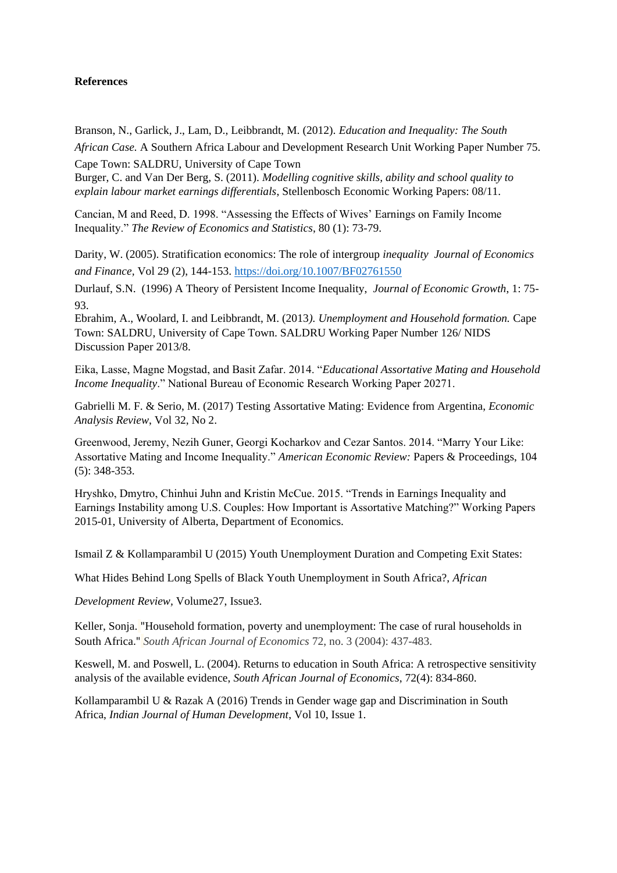## **References**

Branson, N., Garlick, J., Lam, D., Leibbrandt, M. (2012). *Education and Inequality: The South African Case.* A Southern Africa Labour and Development Research Unit Working Paper Number 75.

Cape Town: SALDRU, University of Cape Town Burger, C. and Van Der Berg, S. (2011). *Modelling cognitive skills, ability and school quality to explain labour market earnings differentials*, Stellenbosch Economic Working Papers: 08/11.

Cancian, M and Reed, D. 1998. "Assessing the Effects of Wives' Earnings on Family Income Inequality." *The Review of Economics and Statistics*, 80 (1): 73-79.

Darity, W. (2005). Stratification economics: The role of intergroup *inequality Journal of Economics and Finance,* Vol 29 (2), 144-153.<https://doi.org/10.1007/BF02761550>

Durlauf, S.N. (1996) A Theory of Persistent Income Inequality, *Journal of Economic Growth*, 1: 75- 93.

Ebrahim, A., Woolard, I. and Leibbrandt, M. (2013*). Unemployment and Household formation.* Cape Town: SALDRU, University of Cape Town. SALDRU Working Paper Number 126/ NIDS Discussion Paper 2013/8.

Eika, Lasse, Magne Mogstad, and Basit Zafar. 2014. "*Educational Assortative Mating and Household Income Inequality*." National Bureau of Economic Research Working Paper 20271.

Gabrielli M. F. & Serio, M. (2017) Testing Assortative Mating: Evidence from Argentina, *Economic Analysis Review*, Vol 32, No 2.

Greenwood, Jeremy, Nezih Guner, Georgi Kocharkov and Cezar Santos. 2014. "Marry Your Like: Assortative Mating and Income Inequality." *American Economic Review:* Papers & Proceedings, 104 (5): 348-353.

Hryshko, Dmytro, Chinhui Juhn and Kristin McCue. 2015. "Trends in Earnings Inequality and Earnings Instability among U.S. Couples: How Important is Assortative Matching?" Working Papers 2015-01, University of Alberta, Department of Economics.

Ismail Z & Kollamparambil U (2015) Youth Unemployment Duration and Competing Exit States:

What Hides Behind Long Spells of Black Youth Unemployment in South Africa?, *African* 

*Development Review,* [Volume27,](https://onlinelibrary.wiley.com/toc/14678268/2015/27/3) Issue3.

Keller, Sonja. "[Household formation, poverty and unemployment: The case of rural households in](http://microdata.worldbank.org/index.php/citations/5049)  [South Africa](http://microdata.worldbank.org/index.php/citations/5049)." *South African Journal of Economics* 72, no. 3 (2004): 437-483.

Keswell, M. and Poswell, L. (2004). Returns to education in South Africa: A retrospective sensitivity analysis of the available evidence, *South African Journal of Economics*, 72(4): 834-860.

Kollamparambil U & Razak A (2016) Trends in Gender wage gap and Discrimination in South Africa, *Indian Journal of Human Development*, Vol 10, Issue 1.